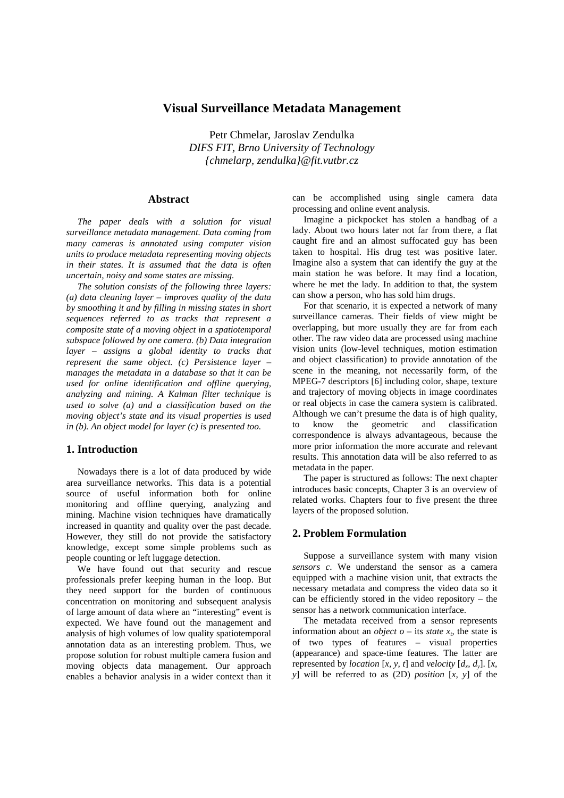# **Visual Surveillance Metadata Management**

Petr Chmelar, Jaroslav Zendulka *DIFS FIT, Brno University of Technology {chmelarp, zendulka}@fit.vutbr.cz* 

#### **Abstract**

*The paper deals with a solution for visual surveillance metadata management. Data coming from many cameras is annotated using computer vision units to produce metadata representing moving objects in their states. It is assumed that the data is often uncertain, noisy and some states are missing.* 

*The solution consists of the following three layers: (a) data cleaning layer – improves quality of the data by smoothing it and by filling in missing states in short sequences referred to as tracks that represent a composite state of a moving object in a spatiotemporal subspace followed by one camera. (b) Data integration layer – assigns a global identity to tracks that represent the same object. (c) Persistence layer – manages the metadata in a database so that it can be used for online identification and offline querying, analyzing and mining. A Kalman filter technique is used to solve (a) and a classification based on the moving object's state and its visual properties is used in (b). An object model for layer (c) is presented too.* 

#### **1. Introduction**

Nowadays there is a lot of data produced by wide area surveillance networks. This data is a potential source of useful information both for online monitoring and offline querying, analyzing and mining. Machine vision techniques have dramatically increased in quantity and quality over the past decade. However, they still do not provide the satisfactory knowledge, except some simple problems such as people counting or left luggage detection.

We have found out that security and rescue professionals prefer keeping human in the loop. But they need support for the burden of continuous concentration on monitoring and subsequent analysis of large amount of data where an "interesting" event is expected. We have found out the management and analysis of high volumes of low quality spatiotemporal annotation data as an interesting problem. Thus, we propose solution for robust multiple camera fusion and moving objects data management. Our approach enables a behavior analysis in a wider context than it can be accomplished using single camera data processing and online event analysis.

Imagine a pickpocket has stolen a handbag of a lady. About two hours later not far from there, a flat caught fire and an almost suffocated guy has been taken to hospital. His drug test was positive later. Imagine also a system that can identify the guy at the main station he was before. It may find a location, where he met the lady. In addition to that, the system can show a person, who has sold him drugs.

For that scenario, it is expected a network of many surveillance cameras. Their fields of view might be overlapping, but more usually they are far from each other. The raw video data are processed using machine vision units (low-level techniques, motion estimation and object classification) to provide annotation of the scene in the meaning, not necessarily form, of the MPEG-7 descriptors [6] including color, shape, texture and trajectory of moving objects in image coordinates or real objects in case the camera system is calibrated. Although we can't presume the data is of high quality, to know the geometric and classification correspondence is always advantageous, because the more prior information the more accurate and relevant results. This annotation data will be also referred to as metadata in the paper.

The paper is structured as follows: The next chapter introduces basic concepts, Chapter 3 is an overview of related works. Chapters four to five present the three layers of the proposed solution.

### **2. Problem Formulation**

Suppose a surveillance system with many vision *sensors c*. We understand the sensor as a camera equipped with a machine vision unit, that extracts the necessary metadata and compress the video data so it can be efficiently stored in the video repository – the sensor has a network communication interface.

The metadata received from a sensor represents information about an *object*  $o$  – its *state*  $x_t$ , the state is of two types of features – visual properties (appearance) and space-time features. The latter are represented by *location* [*x, y, t*] and *velocity* [ $d_x$ ,  $d_y$ ]. [*x*, *y*] will be referred to as (2D) *position* [*x, y*] of the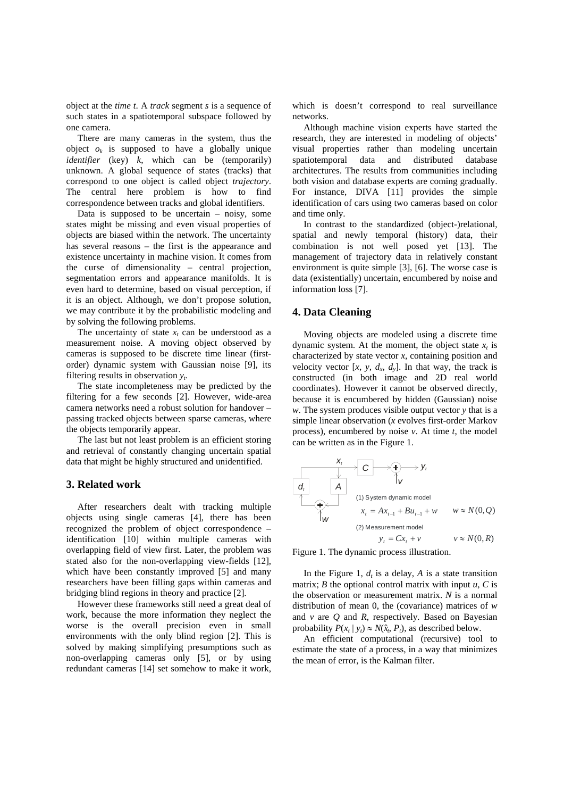object at the *time t*. A *track* segment *s* is a sequence of such states in a spatiotemporal subspace followed by one camera.

There are many cameras in the system, thus the object  $o_k$  is supposed to have a globally unique *identifier* (key) *k*, which can be (temporarily) unknown. A global sequence of states (tracks) that correspond to one object is called object *trajectory*. The central here problem is how to find correspondence between tracks and global identifiers.

Data is supposed to be uncertain  $-$  noisy, some states might be missing and even visual properties of objects are biased within the network. The uncertainty has several reasons – the first is the appearance and existence uncertainty in machine vision. It comes from the curse of dimensionality – central projection, segmentation errors and appearance manifolds. It is even hard to determine, based on visual perception, if it is an object. Although, we don't propose solution, we may contribute it by the probabilistic modeling and by solving the following problems.

The uncertainty of state  $x_t$  can be understood as a measurement noise. A moving object observed by cameras is supposed to be discrete time linear (firstorder) dynamic system with Gaussian noise [9], its filtering results in observation *yt*.

The state incompleteness may be predicted by the filtering for a few seconds [2]. However, wide-area camera networks need a robust solution for handover – passing tracked objects between sparse cameras, where the objects temporarily appear.

The last but not least problem is an efficient storing and retrieval of constantly changing uncertain spatial data that might be highly structured and unidentified.

### **3. Related work**

After researchers dealt with tracking multiple objects using single cameras [4], there has been recognized the problem of object correspondence – identification [10] within multiple cameras with overlapping field of view first. Later, the problem was stated also for the non-overlapping view-fields [12], which have been constantly improved [5] and many researchers have been filling gaps within cameras and bridging blind regions in theory and practice [2].

However these frameworks still need a great deal of work, because the more information they neglect the worse is the overall precision even in small environments with the only blind region [2]. This is solved by making simplifying presumptions such as non-overlapping cameras only [5], or by using redundant cameras [14] set somehow to make it work, which is doesn't correspond to real surveillance networks.

Although machine vision experts have started the research, they are interested in modeling of objects' visual properties rather than modeling uncertain spatiotemporal data and distributed database architectures. The results from communities including both vision and database experts are coming gradually. For instance, DIVA [11] provides the simple identification of cars using two cameras based on color and time only.

In contrast to the standardized (object-)relational, spatial and newly temporal (history) data, their combination is not well posed yet [13]. The management of trajectory data in relatively constant environment is quite simple [3], [6]. The worse case is data (existentially) uncertain, encumbered by noise and information loss [7].

#### **4. Data Cleaning**

Moving objects are modeled using a discrete time dynamic system. At the moment, the object state  $x_t$  is characterized by state vector *x*, containing position and velocity vector  $[x, y, d_x, d_y]$ . In that way, the track is constructed (in both image and 2D real world coordinates). However it cannot be observed directly, because it is encumbered by hidden (Gaussian) noise *w*. The system produces visible output vector *y* that is a simple linear observation (*x* evolves first-order Markov process), encumbered by noise *v*. At time *t*, the model can be written as in the Figure 1.

| $X_t$                           | C                   | $y_t$                    |
|---------------------------------|---------------------|--------------------------|
| $d_t$                           | A                   | (1) System dynamic model |
| $x_t = Ax_{t-1} + Bu_{t-1} + w$ | $w \approx N(0, Q)$ |                          |
| $y_t = Cx_t + v$                | $v \approx N(0, R)$ |                          |

Figure 1. The dynamic process illustration.

In the Figure 1,  $d_t$  is a delay, A is a state transition matrix; *B* the optional control matrix with input  $u$ ,  $C$  is the observation or measurement matrix. *N* is a normal distribution of mean 0, the (covariance) matrices of *w*  and *v* are *Q* and *R*, respectively*.* Based on Bayesian probability  $P(x_t | y_t) \approx N(\hat{x}_t, P_t)$ , as described below.

An efficient computational (recursive) tool to estimate the state of a process, in a way that minimizes the mean of error, is the Kalman filter.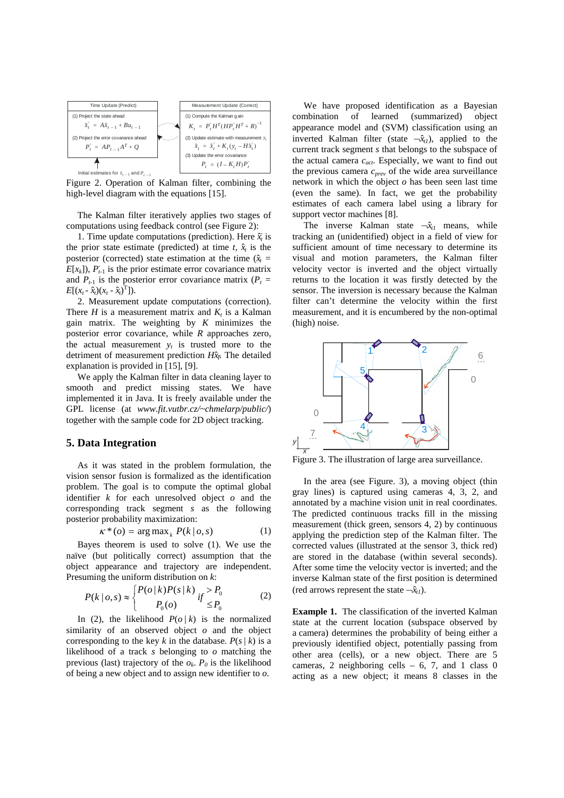

Figure 2. Operation of Kalman filter, combining the high-level diagram with the equations [15].

The Kalman filter iteratively applies two stages of computations using feedback control (see Figure 2):

1. Time update computations (prediction). Here  $\hat{x}_t$  is the prior state estimate (predicted) at time  $t$ ,  $\hat{x}$  is the posterior (corrected) state estimation at the time  $(\hat{x}_t =$  $E[x_k]$ ),  $P_{t-1}$  is the prior estimate error covariance matrix and  $P_{t-1}$  is the posterior error covariance matrix ( $P_t$  =  $E[(x_t - \hat{x}_t)(x_t - \hat{x}_t)^T]$ ).

2. Measurement update computations (correction). There *H* is a measurement matrix and  $K_t$  is a Kalman gain matrix. The weighting by *K* minimizes the posterior error covariance, while *R* approaches zero, the actual measurement  $y_t$  is trusted more to the detriment of measurement prediction *Hx*ˆ*<sup>t</sup> -*. The detailed explanation is provided in [15], [9].

We apply the Kalman filter in data cleaning layer to smooth and predict missing states. We have implemented it in Java. It is freely available under the GPL license (at *www.fit.vutbr.cz/~chmelarp/public/*) together with the sample code for 2D object tracking.

#### **5. Data Integration**

As it was stated in the problem formulation, the vision sensor fusion is formalized as the identification problem. The goal is to compute the optimal global identifier *k* for each unresolved object *o* and the corresponding track segment *s* as the following posterior probability maximization:

$$
\kappa^*(o) = \arg \max_k P(k \mid o, s) \tag{1}
$$

Bayes theorem is used to solve (1). We use the naïve (but politically correct) assumption that the object appearance and trajectory are independent. Presuming the uniform distribution on *k*:

$$
P(k \mid o, s) \approx \begin{cases} P(o \mid k)P(s \mid k) & \text{if } > P_0 \\ P_0(o) & \text{if } \le P_0 \end{cases} \tag{2}
$$

In (2), the likelihood  $P(o / k)$  is the normalized similarity of an observed object *o* and the object corresponding to the key *k* in the database.  $P(s/k)$  is a likelihood of a track *s* belonging to *o* matching the previous (last) trajectory of the  $o_k$ .  $P_0$  is the likelihood of being a new object and to assign new identifier to *o*.

We have proposed identification as a Bayesian combination of learned (summarized) object appearance model and (SVM) classification using an inverted Kalman filter (state  $-\hat{x}_{t1}$ ), applied to the current track segment *s* that belongs to the subspace of the actual camera *cact*. Especially, we want to find out the previous camera *cprev* of the wide area surveillance network in which the object *o* has been seen last time (even the same). In fact, we get the probability estimates of each camera label using a library for support vector machines [8].

The inverse Kalman state  $-\hat{x}_i$  means, while tracking an (unidentified) object in a field of view for sufficient amount of time necessary to determine its visual and motion parameters, the Kalman filter velocity vector is inverted and the object virtually returns to the location it was firstly detected by the sensor. The inversion is necessary because the Kalman filter can't determine the velocity within the first measurement, and it is encumbered by the non-optimal (high) noise.



Figure 3. The illustration of large area surveillance.

In the area (see Figure. 3), a moving object (thin gray lines) is captured using cameras 4, 3, 2, and annotated by a machine vision unit in real coordinates. The predicted continuous tracks fill in the missing measurement (thick green, sensors 4, 2) by continuous applying the prediction step of the Kalman filter. The corrected values (illustrated at the sensor 3, thick red) are stored in the database (within several seconds). After some time the velocity vector is inverted; and the inverse Kalman state of the first position is determined (red arrows represent the state  $\neg \hat{x}_{t}$ ).

**Example 1.** The classification of the inverted Kalman state at the current location (subspace observed by a camera) determines the probability of being either a previously identified object, potentially passing from other area (cells), or a new object. There are 5 cameras, 2 neighboring cells  $-6$ , 7, and 1 class 0 acting as a new object; it means 8 classes in the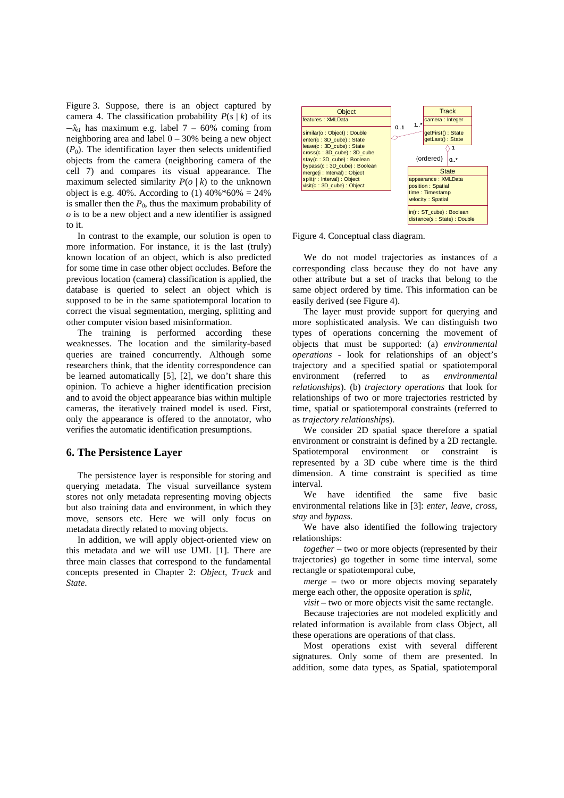Figure 3. Suppose, there is an object captured by camera 4. The classification probability  $P(s / k)$  of its  $-\hat{x}_{t}$  has maximum e.g. label 7 – 60% coming from neighboring area and label 0 – 30% being a new object  $(P_0)$ . The identification layer then selects unidentified objects from the camera (neighboring camera of the cell 7) and compares its visual appearance. The maximum selected similarity  $P(o / k)$  to the unknown object is e.g. 40%. According to (1)  $40\% * 60\% = 24\%$ is smaller then the  $P_0$ , thus the maximum probability of *o* is to be a new object and a new identifier is assigned to it.

In contrast to the example, our solution is open to more information. For instance, it is the last (truly) known location of an object, which is also predicted for some time in case other object occludes. Before the previous location (camera) classification is applied, the database is queried to select an object which is supposed to be in the same spatiotemporal location to correct the visual segmentation, merging, splitting and other computer vision based misinformation.

The training is performed according these weaknesses. The location and the similarity-based queries are trained concurrently. Although some researchers think, that the identity correspondence can be learned automatically [5], [2], we don't share this opinion. To achieve a higher identification precision and to avoid the object appearance bias within multiple cameras, the iteratively trained model is used. First, only the appearance is offered to the annotator, who verifies the automatic identification presumptions.

### **6. The Persistence Layer**

The persistence layer is responsible for storing and querying metadata. The visual surveillance system stores not only metadata representing moving objects but also training data and environment, in which they move, sensors etc. Here we will only focus on metadata directly related to moving objects.

In addition, we will apply object-oriented view on this metadata and we will use UML [1]. There are three main classes that correspond to the fundamental concepts presented in Chapter 2: *Object, Track* and *State*.



Figure 4. Conceptual class diagram.

We do not model trajectories as instances of a corresponding class because they do not have any other attribute but a set of tracks that belong to the same object ordered by time. This information can be easily derived (see Figure 4).

The layer must provide support for querying and more sophisticated analysis. We can distinguish two types of operations concerning the movement of objects that must be supported: (a) *environmental operations* - look for relationships of an object's trajectory and a specified spatial or spatiotemporal environment (referred to as *environmental relationships*). (b) *trajectory operations* that look for relationships of two or more trajectories restricted by time, spatial or spatiotemporal constraints (referred to as *trajectory relationship*s).

We consider 2D spatial space therefore a spatial environment or constraint is defined by a 2D rectangle. Spatiotemporal environment or constraint is represented by a 3D cube where time is the third dimension. A time constraint is specified as time interval.

We have identified the same five basic environmental relations like in [3]: *enter, leave, cross,* s*tay* and *bypass.*

We have also identified the following trajectory relationships:

*together* – two or more objects (represented by their trajectories) go together in some time interval, some rectangle or spatiotemporal cube,

*merge* – two or more objects moving separately merge each other, the opposite operation is *split*,

*visit* – two or more objects visit the same rectangle.

Because trajectories are not modeled explicitly and related information is available from class Object, all these operations are operations of that class.

Most operations exist with several different signatures. Only some of them are presented. In addition, some data types, as Spatial, spatiotemporal